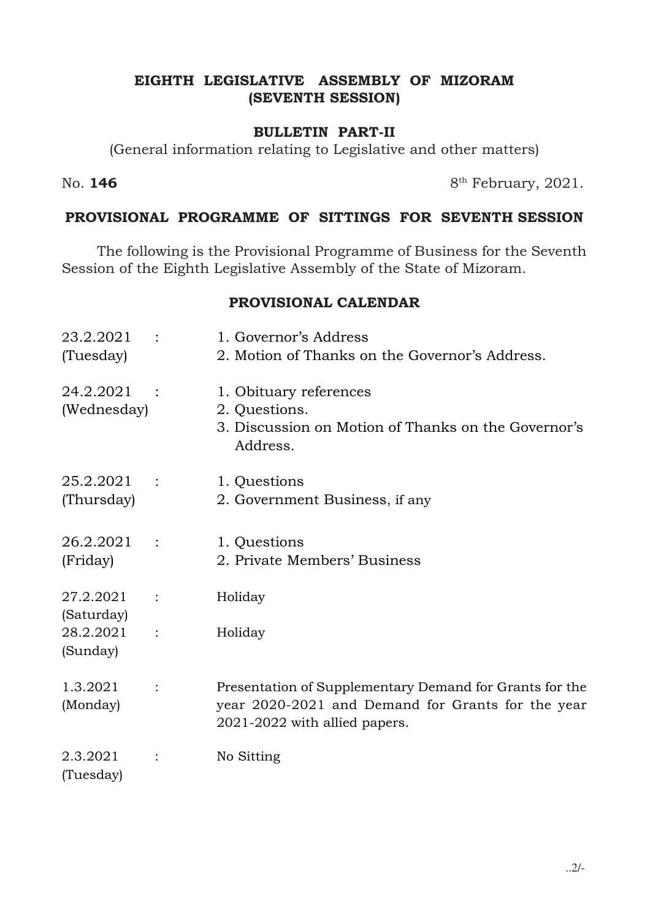## EIGHTH LEGISLATIVE ASSEMBLY OF MIZORAM (SEVENTH SESSION)

#### BULLETIN PART-II

(General information relating to Legislative and other matters)

No.  $146$  8<sup>th</sup> February, 2021.

## PROVISIONAL PROGRAMME OF SITTINGS FOR SEVENTH SESSION

 The following is the Provisional Programme of Business for the Seventh Session of the Eighth Legislative Assembly of the State of Mizoram.

#### PROVISIONAL CALENDAR

| 23.2.2021<br>(Tuesday)   | 1. Governor's Address<br>2. Motion of Thanks on the Governor's Address.                                                                       |
|--------------------------|-----------------------------------------------------------------------------------------------------------------------------------------------|
| 24.2.2021<br>(Wednesday) | 1. Obituary references<br>2. Questions.<br>3. Discussion on Motion of Thanks on the Governor's<br>Address.                                    |
| 25.2.2021<br>(Thursday)  | 1. Questions<br>2. Government Business, if any                                                                                                |
| 26.2.2021<br>(Friday)    | 1. Questions<br>2. Private Members' Business                                                                                                  |
| 27.2.2021<br>(Saturday)  | Holiday                                                                                                                                       |
| 28.2.2021<br>(Sunday)    | Holiday                                                                                                                                       |
| 1.3.2021<br>(Monday)     | Presentation of Supplementary Demand for Grants for the<br>year 2020-2021 and Demand for Grants for the year<br>2021-2022 with allied papers. |
| 2.3.2021<br>(Tuesday)    | No Sitting                                                                                                                                    |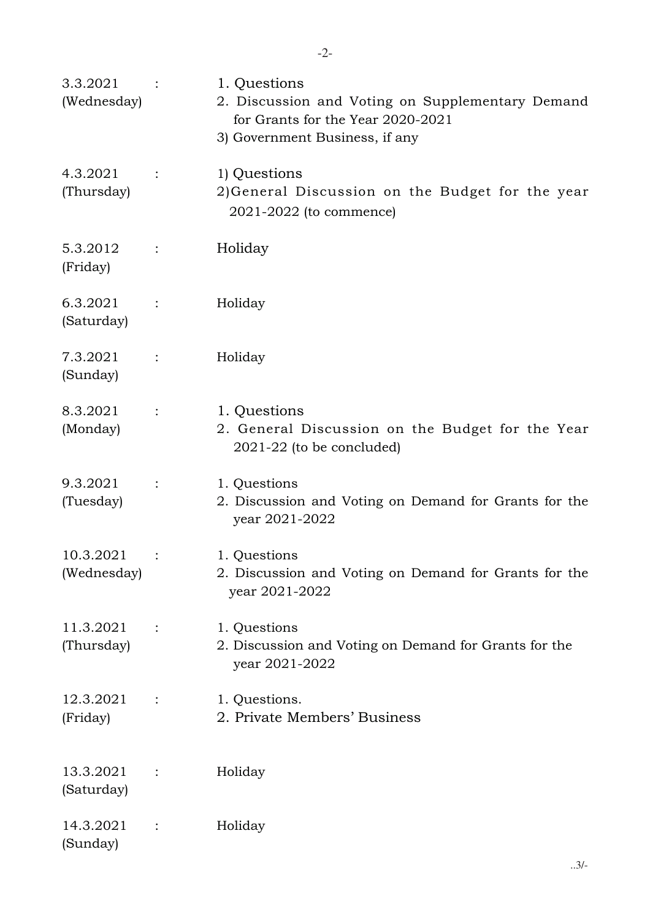| 3.3.2021<br>(Wednesday)  |                | 1. Questions<br>2. Discussion and Voting on Supplementary Demand<br>for Grants for the Year 2020-2021<br>3) Government Business, if any |
|--------------------------|----------------|-----------------------------------------------------------------------------------------------------------------------------------------|
| 4.3.2021<br>(Thursday)   | $\ddot{\cdot}$ | 1) Questions<br>2) General Discussion on the Budget for the year<br>2021-2022 (to commence)                                             |
| 5.3.2012<br>(Friday)     |                | Holiday                                                                                                                                 |
| 6.3.2021<br>(Saturday)   |                | Holiday                                                                                                                                 |
| 7.3.2021<br>(Sunday)     | $\ddot{\cdot}$ | Holiday                                                                                                                                 |
| 8.3.2021<br>(Monday)     | $\ddot{\cdot}$ | 1. Questions<br>2. General Discussion on the Budget for the Year<br>$2021-22$ (to be concluded)                                         |
| 9.3.2021<br>(Tuesday)    | $\ddot{\cdot}$ | 1. Questions<br>2. Discussion and Voting on Demand for Grants for the<br>year 2021-2022                                                 |
| 10.3.2021<br>(Wednesday) |                | 1. Questions<br>2. Discussion and Voting on Demand for Grants for the<br>year 2021-2022                                                 |
| 11.3.2021<br>(Thursday)  |                | 1. Questions<br>2. Discussion and Voting on Demand for Grants for the<br>year 2021-2022                                                 |
| 12.3.2021<br>(Friday)    |                | 1. Questions.<br>2. Private Members' Business                                                                                           |
| 13.3.2021<br>(Saturday)  |                | Holiday                                                                                                                                 |
| 14.3.2021<br>(Sunday)    |                | Holiday                                                                                                                                 |

..3/-